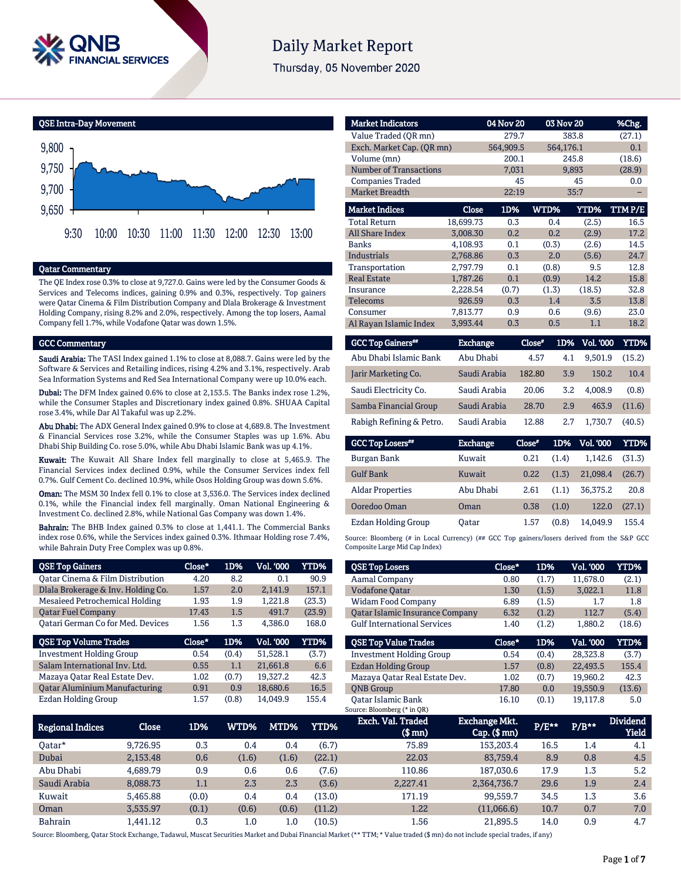

# **Daily Market Report**

Thursday, 05 November 2020



## Qatar Commentary

The QE Index rose 0.3% to close at 9,727.0. Gains were led by the Consumer Goods & Services and Telecoms indices, gaining 0.9% and 0.3%, respectively. Top gainers were Qatar Cinema & Film Distribution Company and Dlala Brokerage & Investment Holding Company, rising 8.2% and 2.0%, respectively. Among the top losers, Aamal Company fell 1.7%, while Vodafone Qatar was down 1.5%.

## GCC Commentary

Saudi Arabia: The TASI Index gained 1.1% to close at 8,088.7. Gains were led by the Software & Services and Retailing indices, rising 4.2% and 3.1%, respectively. Arab Sea Information Systems and Red Sea International Company were up 10.0% each.

Dubai: The DFM Index gained 0.6% to close at 2,153.5. The Banks index rose 1.2%, while the Consumer Staples and Discretionary index gained 0.8%. SHUAA Capital rose 3.4%, while Dar Al Takaful was up 2.2%.

Abu Dhabi: The ADX General Index gained 0.9% to close at 4,689.8. The Investment & Financial Services rose 3.2%, while the Consumer Staples was up 1.6%. Abu Dhabi Ship Building Co. rose 5.0%, while Abu Dhabi Islamic Bank was up 4.1%.

Kuwait: The Kuwait All Share Index fell marginally to close at 5,465.9. The Financial Services index declined 0.9%, while the Consumer Services index fell 0.7%. Gulf Cement Co. declined 10.9%, while Osos Holding Group was down 5.6%.

Oman: The MSM 30 Index fell 0.1% to close at 3,536.0. The Services index declined 0.1%, while the Financial index fell marginally. Oman National Engineering & Investment Co. declined 2.8%, while National Gas Company was down 1.4%.

Bahrain: The BHB Index gained 0.3% to close at 1,441.1. The Commercial Banks index rose 0.6%, while the Services index gained 0.3%. Ithmaar Holding rose 7.4%, while Bahrain Duty Free Complex was up 0.8%.

| <b>QSE Top Gainers</b>                   | Close* | 1D%   | Vol. '000 | <b>YTD%</b> |
|------------------------------------------|--------|-------|-----------|-------------|
| Oatar Cinema & Film Distribution         | 4.20   | 8.2   | 0.1       | 90.9        |
| Dlala Brokerage & Inv. Holding Co.       | 1.57   | 2.0   | 2.141.9   | 157.1       |
| Mesaieed Petrochemical Holding           | 1.93   | 1.9   | 1,221.8   | (23.3)      |
| <b>Oatar Fuel Company</b>                | 17.43  | 1.5   | 491.7     | (23.9)      |
| <b>Qatari German Co for Med. Devices</b> | 1.56   | 1.3   | 4,386.0   | 168.0       |
|                                          |        |       |           |             |
| <b>QSE Top Volume Trades</b>             | Close* | 1D%   | Vol. '000 | <b>YTD%</b> |
| <b>Investment Holding Group</b>          | 0.54   | (0.4) | 51.528.1  | (3.7)       |
| Salam International Inv. Ltd.            | 0.55   | 1.1   | 21,661.8  | 6.6         |
| Mazaya Qatar Real Estate Dev.            | 1.02   | (0.7) | 19,327.2  | 42.3        |
| <b>Qatar Aluminium Manufacturing</b>     | 0.91   | 0.9   | 18,680.6  | 16.5        |

| <b>Market Indicators</b>      |           | 04 Nov 20 |             | 03 Nov 20 | %Chg.  |
|-------------------------------|-----------|-----------|-------------|-----------|--------|
| Value Traded (OR mn)          |           | 279.7     |             | 383.8     | (27.1) |
| Exch. Market Cap. (QR mn)     |           | 564,909.5 |             | 564,176.1 | 0.1    |
| Volume (mn)                   |           | 200.1     |             | 245.8     | (18.6) |
| <b>Number of Transactions</b> |           | 7,031     |             | 9,893     | (28.9) |
| <b>Companies Traded</b>       |           | 45        |             | 45        | 0.0    |
| <b>Market Breadth</b>         | 22:19     |           | 35:7        |           |        |
| <b>Market Indices</b>         | Close     | 1D%       | <b>WTD%</b> | YTD%      | TTMP/E |
| <b>Total Return</b>           | 18,699.73 | 0.3       | 0.4         | (2.5)     | 16.5   |
| <b>All Share Index</b>        | 3,008.30  | 0.2       | 0.2         | (2.9)     | 17.2   |
| <b>Banks</b>                  | 4,108.93  | 0.1       | (0.3)       | (2.6)     | 14.5   |
| <b>Industrials</b>            | 2.768.86  | 0.3       | 2.0         | (5.6)     | 24.7   |
| Transportation                | 2.797.79  | 0.1       | (0.8)       | 9.5       | 12.8   |
| <b>Real Estate</b>            | 1,787.26  | 0.1       | (0.9)       | 14.2      | 15.8   |
| Insurance                     | 2,228.54  | (0.7)     | (1.3)       | (18.5)    | 32.8   |
| <b>Telecoms</b>               | 926.59    | 0.3       | 1.4         | 3.5       | 13.8   |
| Consumer                      | 7,813.77  | 0.9       | 0.6         | (9.6)     | 23.0   |
| Al Rayan Islamic Index        | 3.993.44  | 0.3       | 0.5         | 1.1       | 18.2   |

| <b>GCC Top Gainers**</b> | <b>Exchange</b> | Close* | 1D% | <b>Vol. '000</b> | YTD%   |
|--------------------------|-----------------|--------|-----|------------------|--------|
| Abu Dhabi Islamic Bank   | Abu Dhabi       | 4.57   | 4.1 | 9.501.9          | (15.2) |
| Jarir Marketing Co.      | Saudi Arabia    | 182.80 | 3.9 | 150.2            | 10.4   |
| Saudi Electricity Co.    | Saudi Arabia    | 20.06  | 3.2 | 4.008.9          | (0.8)  |
| Samba Financial Group    | Saudi Arabia    | 28.70  | 2.9 | 463.9            | (11.6) |
| Rabigh Refining & Petro. | Saudi Arabia    | 12.88  | 2.7 | 1.730.7          | (40.5) |

| <b>GCC Top Losers</b> " | <b>Exchange</b> | Close" |       | 1D% Vol. 000 | YTD%   |
|-------------------------|-----------------|--------|-------|--------------|--------|
| Burgan Bank             | Kuwait          | 0.21   | (1.4) | 1.142.6      | (31.3) |
| <b>Gulf Bank</b>        | Kuwait          | 0.22   | (1.3) | 21.098.4     | (26.7) |
| <b>Aldar Properties</b> | Abu Dhabi       | 2.61   | (1.1) | 36.375.2     | 20.8   |
| Ooredoo Oman            | Oman            | 0.38   | (1.0) | 122.0        | (27.1) |
| Ezdan Holding Group     | Oatar           | 1.57   | (0.8) | 14.049.9     | 155.4  |

Source: Bloomberg (# in Local Currency) (## GCC Top gainers/losers derived from the S&P GCC Composite Large Mid Cap Index)

| <b>QSE Top Losers</b>                  | Close* | 1D%   | <b>Vol. '000</b> | YTD%   |
|----------------------------------------|--------|-------|------------------|--------|
| <b>Aamal Company</b>                   | 0.80   | (1.7) | 11,678.0         | (2.1)  |
| <b>Vodafone Qatar</b>                  | 1.30   | (1.5) | 3.022.1          | 11.8   |
| <b>Widam Food Company</b>              | 6.89   | (1.5) | 1.7              | 1.8    |
| <b>Qatar Islamic Insurance Company</b> | 6.32   | (1.2) | 112.7            | (5.4)  |
| <b>Gulf International Services</b>     | 1.40   | (1.2) | 1,880.2          | (18.6) |
|                                        |        |       |                  |        |
|                                        |        |       |                  |        |
| <b>OSE Top Value Trades</b>            | Close* | 1D%   | Val. '000        | YTD%   |
| <b>Investment Holding Group</b>        | 0.54   | (0.4) | 28,323.8         | (3.7)  |
| Ezdan Holding Group                    | 1.57   | (0.8) | 22,493.5         | 155.4  |
| Mazaya Oatar Real Estate Dev.          | 1.02   | (0.7) | 19,960.2         | 42.3   |
| <b>ONB</b> Group                       | 17.80  | 0.0   | 19,550.9         | (13.6) |

| <b>Regional Indices</b> | Close    | 1D%   | WTD%    | MTD%  | YTD%   | Exch. Val. Traded<br>$$$ mn $)$ | <b>Exchange Mkt.</b><br>$Cap.$ (\$ mn) | P/E** | $P/B***$ | <b>Dividend</b><br><b>Yield</b> |
|-------------------------|----------|-------|---------|-------|--------|---------------------------------|----------------------------------------|-------|----------|---------------------------------|
| Oatar*                  | 9.726.95 | 0.3   | 0.4     | 0.4   | (6.7)  | 75.89                           | 153,203.4                              | 16.5  | 1.4      | 4.1                             |
| Dubai                   | 2.153.48 | 0.6   | (1.6)   | (1.6) | (22.1) | 22.03                           | 83,759.4                               | 8.9   | 0.8      | 4.5                             |
| Abu Dhabi               | 4.689.79 | 0.9   | 0.6     | 0.6   | (7.6)  | 110.86                          | 187,030.6                              | 17.9  | 1.3      | 5.2                             |
| Saudi Arabia            | 8,088.73 | 1.1   | 2.3     | 2.3   | (3.6)  | 2,227.41                        | 2,364,736.7                            | 29.6  | 1.9      | 2.4                             |
| Kuwait                  | 5.465.88 | (0.0) | 0.4     | 0.4   | (13.0) | 171.19                          | 99.559.7                               | 34.5  | 1.3      | 3.6                             |
| Oman                    | 3,535.97 | (0.1) | (0.6)   | (0.6) | (11.2) | 1.22                            | (11,066.6)                             | 10.7  | 0.7      | 7.0                             |
| <b>Bahrain</b>          | .441.12  | 0.3   | $1.0\,$ | 1.0   | (10.5) | 1.56                            | 21.895.5                               | 14.0  | 0.9      | 4.7                             |

Source: Bloomberg, Qatar Stock Exchange, Tadawul, Muscat Securities Market and Dubai Financial Market (\*\* TTM; \* Value traded (\$ mn) do not include special trades, if any)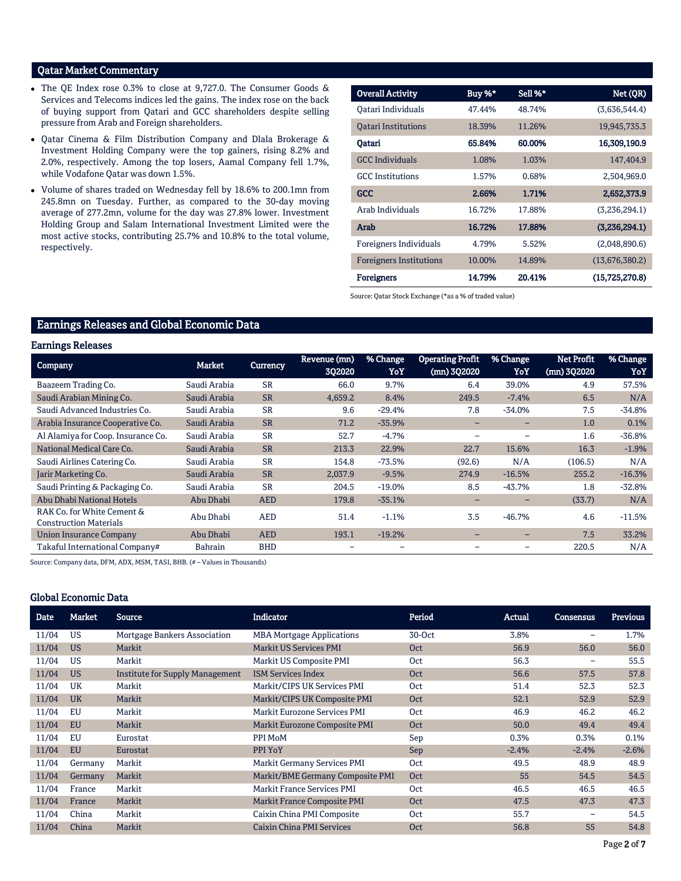# Qatar Market Commentary

- The QE Index rose 0.3% to close at 9,727.0. The Consumer Goods & Services and Telecoms indices led the gains. The index rose on the back of buying support from Qatari and GCC shareholders despite selling pressure from Arab and Foreign shareholders.
- Qatar Cinema & Film Distribution Company and Dlala Brokerage & Investment Holding Company were the top gainers, rising 8.2% and 2.0%, respectively. Among the top losers, Aamal Company fell 1.7%, while Vodafone Qatar was down 1.5%.
- Volume of shares traded on Wednesday fell by 18.6% to 200.1mn from 245.8mn on Tuesday. Further, as compared to the 30-day moving average of 277.2mn, volume for the day was 27.8% lower. Investment Holding Group and Salam International Investment Limited were the most active stocks, contributing 25.7% and 10.8% to the total volume, respectively.

| <b>Overall Activity</b>        | Buy %* | Sell %* | Net (QR)       |
|--------------------------------|--------|---------|----------------|
| Oatari Individuals             | 47.44% | 48.74%  | (3,636,544.4)  |
| <b>Oatari Institutions</b>     | 18.39% | 11.26%  | 19,945,735.3   |
| Qatari                         | 65.84% | 60.00%  | 16,309,190.9   |
| <b>GCC</b> Individuals         | 1.08%  | 1.03%   | 147,404.9      |
| <b>GCC</b> Institutions        | 1.57%  | 0.68%   | 2,504,969.0    |
| <b>GCC</b>                     | 2.66%  | 1.71%   | 2,652,373.9    |
| Arab Individuals               | 16.72% | 17.88%  | (3,236,294.1)  |
| Arab                           | 16.72% | 17.88%  | (3,236,294.1)  |
| Foreigners Individuals         | 4.79%  | 5.52%   | (2,048,890.6)  |
| <b>Foreigners Institutions</b> | 10.00% | 14.89%  | (13,676,380.2) |
| <b>Foreigners</b>              | 14.79% | 20.41%  | (15,725,270.8) |

Source: Qatar Stock Exchange (\*as a % of traded value)

# Earnings Releases and Global Economic Data

## Earnings Releases

| <b>Company</b>                                              | Market         | <b>Currency</b> | Revenue (mn)<br>302020 | % Change<br>YoY | <b>Operating Profit</b><br>(mn) 302020 | % Change<br>YoY          | <b>Net Profit</b><br>$(mn)$ 3Q2020 | % Change<br>YoY |
|-------------------------------------------------------------|----------------|-----------------|------------------------|-----------------|----------------------------------------|--------------------------|------------------------------------|-----------------|
| Baazeem Trading Co.                                         | Saudi Arabia   | <b>SR</b>       | 66.0                   | 9.7%            | 6.4                                    | 39.0%                    | 4.9                                | 57.5%           |
| Saudi Arabian Mining Co.                                    | Saudi Arabia   | <b>SR</b>       | 4,659.2                | 8.4%            | 249.5                                  | $-7.4%$                  | 6.5                                | N/A             |
| Saudi Advanced Industries Co.                               | Saudi Arabia   | <b>SR</b>       | 9.6                    | $-29.4%$        | 7.8                                    | $-34.0%$                 | 7.5                                | $-34.8%$        |
| Arabia Insurance Cooperative Co.                            | Saudi Arabia   | <b>SR</b>       | 71.2                   | $-35.9%$        | $\overline{\phantom{0}}$               | $\overline{\phantom{0}}$ | 1.0                                | 0.1%            |
| Al Alamiya for Coop. Insurance Co.                          | Saudi Arabia   | <b>SR</b>       | 52.7                   | $-4.7%$         |                                        |                          | 1.6                                | $-36.8%$        |
| National Medical Care Co.                                   | Saudi Arabia   | <b>SR</b>       | 213.3                  | 22.9%           | 22.7                                   | 15.6%                    | 16.3                               | $-1.9%$         |
| Saudi Airlines Catering Co.                                 | Saudi Arabia   | <b>SR</b>       | 154.8                  | $-73.5%$        | (92.6)                                 | N/A                      | (106.5)                            | N/A             |
| <b>Jarir Marketing Co.</b>                                  | Saudi Arabia   | <b>SR</b>       | 2,037.9                | $-9.5%$         | 274.9                                  | $-16.5%$                 | 255.2                              | $-16.3%$        |
| Saudi Printing & Packaging Co.                              | Saudi Arabia   | <b>SR</b>       | 204.5                  | $-19.0%$        | 8.5                                    | $-43.7%$                 | 1.8                                | $-32.8%$        |
| Abu Dhabi National Hotels                                   | Abu Dhabi      | <b>AED</b>      | 179.8                  | $-35.1%$        | -                                      |                          | (33.7)                             | N/A             |
| RAK Co. for White Cement &<br><b>Construction Materials</b> | Abu Dhabi      | <b>AED</b>      | 51.4                   | $-1.1%$         | 3.5                                    | $-46.7%$                 | 4.6                                | $-11.5%$        |
| <b>Union Insurance Company</b>                              | Abu Dhabi      | <b>AED</b>      | 193.1                  | $-19.2%$        | $-$                                    | $\qquad \qquad$          | 7.5                                | 33.2%           |
| Takaful International Company#                              | <b>Bahrain</b> | <b>BHD</b>      |                        |                 |                                        |                          | 220.5                              | N/A             |

Source: Company data, DFM, ADX, MSM, TASI, BHB. (# – Values in Thousands)

## Global Economic Data

| Date  | Market    | Source                          | <b>Indicator</b>                  | Period     | Actual  | <b>Consensus</b> | <b>Previous</b> |
|-------|-----------|---------------------------------|-----------------------------------|------------|---------|------------------|-----------------|
| 11/04 | <b>US</b> | Mortgage Bankers Association    | <b>MBA Mortgage Applications</b>  | $30-Oct$   | 3.8%    | -                | 1.7%            |
| 11/04 | <b>US</b> | Markit                          | <b>Markit US Services PMI</b>     | Oct        | 56.9    | 56.0             | 56.0            |
| 11/04 | <b>US</b> | Markit                          | Markit US Composite PMI           | Oct        | 56.3    | -                | 55.5            |
| 11/04 | <b>US</b> | Institute for Supply Management | <b>ISM Services Index</b>         | Oct        | 56.6    | 57.5             | 57.8            |
| 11/04 | UK        | Markit                          | Markit/CIPS UK Services PMI       | Oct        | 51.4    | 52.3             | 52.3            |
| 11/04 | <b>UK</b> | Markit                          | Markit/CIPS UK Composite PMI      | Oct        | 52.1    | 52.9             | 52.9            |
| 11/04 | EU        | Markit                          | Markit Eurozone Services PMI      | Oct        | 46.9    | 46.2             | 46.2            |
| 11/04 | <b>EU</b> | Markit                          | Markit Eurozone Composite PMI     | <b>Oct</b> | 50.0    | 49.4             | 49.4            |
| 11/04 | EU        | Eurostat                        | PPI MoM                           | Sep        | 0.3%    | 0.3%             | 0.1%            |
| 11/04 | <b>EU</b> | Eurostat                        | PPI YoY                           | Sep        | $-2.4%$ | $-2.4%$          | $-2.6%$         |
| 11/04 | Germany   | Markit                          | Markit Germany Services PMI       | Oct        | 49.5    | 48.9             | 48.9            |
| 11/04 | Germany   | Markit                          | Markit/BME Germany Composite PMI  | Oct        | 55      | 54.5             | 54.5            |
| 11/04 | France    | Markit                          | <b>Markit France Services PMI</b> | Oct        | 46.5    | 46.5             | 46.5            |
| 11/04 | France    | Markit                          | Markit France Composite PMI       | Oct        | 47.5    | 47.3             | 47.3            |
| 11/04 | China     | Markit                          | Caixin China PMI Composite        | Oct        | 55.7    | -                | 54.5            |
| 11/04 | China     | Markit                          | Caixin China PMI Services         | Oct        | 56.8    | 55               | 54.8            |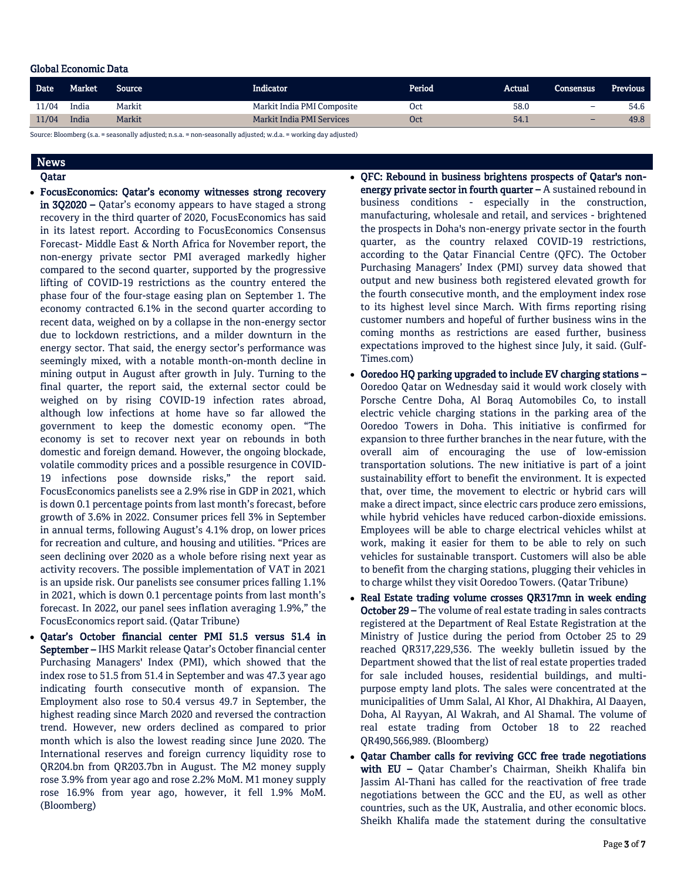## Global Economic Data

| <b>Date</b>                   | Market | Source | Indicator                        | Period     | Actual | 'Consensus | <b>Previous</b> |  |  |
|-------------------------------|--------|--------|----------------------------------|------------|--------|------------|-----------------|--|--|
| 11/04                         | India  | Markit | Markit India PMI Composite       | <b>Oct</b> | 58.0   | -          | 54.6            |  |  |
| 11/04                         | India  | Markit | <b>Markit India PMI Services</b> | Oct        | 54.1   | -          | 49.8            |  |  |
| $C_{\text{out},\text{non-}b}$ |        |        |                                  |            |        |            |                 |  |  |

Source: Bloomberg (s.a. = seasonally adjusted; n.s.a. = non-seasonally adjusted; w.d.a. = working day adjusted)

# News

Qatar

- FocusEconomics: Qatar's economy witnesses strong recovery in 3Q2020 – Qatar's economy appears to have staged a strong recovery in the third quarter of 2020, FocusEconomics has said in its latest report. According to FocusEconomics Consensus Forecast- Middle East & North Africa for November report, the non-energy private sector PMI averaged markedly higher compared to the second quarter, supported by the progressive lifting of COVID-19 restrictions as the country entered the phase four of the four-stage easing plan on September 1. The economy contracted 6.1% in the second quarter according to recent data, weighed on by a collapse in the non-energy sector due to lockdown restrictions, and a milder downturn in the energy sector. That said, the energy sector's performance was seemingly mixed, with a notable month-on-month decline in mining output in August after growth in July. Turning to the final quarter, the report said, the external sector could be weighed on by rising COVID-19 infection rates abroad, although low infections at home have so far allowed the government to keep the domestic economy open. "The economy is set to recover next year on rebounds in both domestic and foreign demand. However, the ongoing blockade, volatile commodity prices and a possible resurgence in COVID-19 infections pose downside risks," the report said. FocusEconomics panelists see a 2.9% rise in GDP in 2021, which is down 0.1 percentage points from last month's forecast, before growth of 3.6% in 2022. Consumer prices fell 3% in September in annual terms, following August's 4.1% drop, on lower prices for recreation and culture, and housing and utilities. "Prices are seen declining over 2020 as a whole before rising next year as activity recovers. The possible implementation of VAT in 2021 is an upside risk. Our panelists see consumer prices falling 1.1% in 2021, which is down 0.1 percentage points from last month's forecast. In 2022, our panel sees inflation averaging 1.9%," the FocusEconomics report said. (Qatar Tribune)
- Qatar's October financial center PMI 51.5 versus 51.4 in September – IHS Markit release Qatar's October financial center Purchasing Managers' Index (PMI), which showed that the index rose to 51.5 from 51.4 in September and was 47.3 year ago indicating fourth consecutive month of expansion. The Employment also rose to 50.4 versus 49.7 in September, the highest reading since March 2020 and reversed the contraction trend. However, new orders declined as compared to prior month which is also the lowest reading since June 2020. The International reserves and foreign currency liquidity rose to QR204.bn from QR203.7bn in August. The M2 money supply rose 3.9% from year ago and rose 2.2% MoM. M1 money supply rose 16.9% from year ago, however, it fell 1.9% MoM. (Bloomberg)
- QFC: Rebound in business brightens prospects of Qatar's nonenergy private sector in fourth quarter  $-$  A sustained rebound in business conditions - especially in the construction, manufacturing, wholesale and retail, and services - brightened the prospects in Doha's non-energy private sector in the fourth quarter, as the country relaxed COVID-19 restrictions, according to the Qatar Financial Centre (QFC). The October Purchasing Managers' Index (PMI) survey data showed that output and new business both registered elevated growth for the fourth consecutive month, and the employment index rose to its highest level since March. With firms reporting rising customer numbers and hopeful of further business wins in the coming months as restrictions are eased further, business expectations improved to the highest since July, it said. (Gulf-Times.com)
- Ooredoo HQ parking upgraded to include EV charging stations Ooredoo Qatar on Wednesday said it would work closely with Porsche Centre Doha, Al Boraq Automobiles Co, to install electric vehicle charging stations in the parking area of the Ooredoo Towers in Doha. This initiative is confirmed for expansion to three further branches in the near future, with the overall aim of encouraging the use of low-emission transportation solutions. The new initiative is part of a joint sustainability effort to benefit the environment. It is expected that, over time, the movement to electric or hybrid cars will make a direct impact, since electric cars produce zero emissions, while hybrid vehicles have reduced carbon-dioxide emissions. Employees will be able to charge electrical vehicles whilst at work, making it easier for them to be able to rely on such vehicles for sustainable transport. Customers will also be able to benefit from the charging stations, plugging their vehicles in to charge whilst they visit Ooredoo Towers. (Qatar Tribune)
- Real Estate trading volume crosses QR317mn in week ending October 29 – The volume of real estate trading in sales contracts registered at the Department of Real Estate Registration at the Ministry of Justice during the period from October 25 to 29 reached QR317,229,536. The weekly bulletin issued by the Department showed that the list of real estate properties traded for sale included houses, residential buildings, and multipurpose empty land plots. The sales were concentrated at the municipalities of Umm Salal, Al Khor, Al Dhakhira, Al Daayen, Doha, Al Rayyan, Al Wakrah, and Al Shamal. The volume of real estate trading from October 18 to 22 reached QR490,566,989. (Bloomberg)
- Qatar Chamber calls for reviving GCC free trade negotiations with EU - Qatar Chamber's Chairman, Sheikh Khalifa bin Jassim Al-Thani has called for the reactivation of free trade negotiations between the GCC and the EU, as well as other countries, such as the UK, Australia, and other economic blocs. Sheikh Khalifa made the statement during the consultative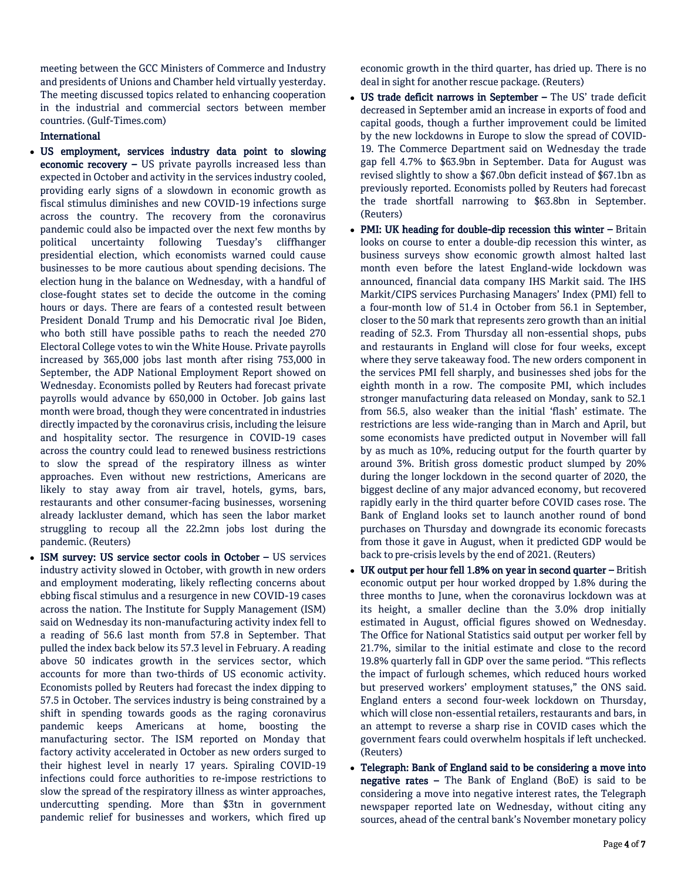meeting between the GCC Ministers of Commerce and Industry and presidents of Unions and Chamber held virtually yesterday. The meeting discussed topics related to enhancing cooperation in the industrial and commercial sectors between member countries. (Gulf-Times.com)

## International

- US employment, services industry data point to slowing economic recovery - US private payrolls increased less than expected in October and activity in the services industry cooled, providing early signs of a slowdown in economic growth as fiscal stimulus diminishes and new COVID-19 infections surge across the country. The recovery from the coronavirus pandemic could also be impacted over the next few months by political uncertainty following Tuesday's cliffhanger presidential election, which economists warned could cause businesses to be more cautious about spending decisions. The election hung in the balance on Wednesday, with a handful of close-fought states set to decide the outcome in the coming hours or days. There are fears of a contested result between President Donald Trump and his Democratic rival Joe Biden, who both still have possible paths to reach the needed 270 Electoral College votes to win the White House. Private payrolls increased by 365,000 jobs last month after rising 753,000 in September, the ADP National Employment Report showed on Wednesday. Economists polled by Reuters had forecast private payrolls would advance by 650,000 in October. Job gains last month were broad, though they were concentrated in industries directly impacted by the coronavirus crisis, including the leisure and hospitality sector. The resurgence in COVID-19 cases across the country could lead to renewed business restrictions to slow the spread of the respiratory illness as winter approaches. Even without new restrictions, Americans are likely to stay away from air travel, hotels, gyms, bars, restaurants and other consumer-facing businesses, worsening already lackluster demand, which has seen the labor market struggling to recoup all the 22.2mn jobs lost during the pandemic. (Reuters)
- ISM survey: US service sector cools in October US services industry activity slowed in October, with growth in new orders and employment moderating, likely reflecting concerns about ebbing fiscal stimulus and a resurgence in new COVID-19 cases across the nation. The Institute for Supply Management (ISM) said on Wednesday its non-manufacturing activity index fell to a reading of 56.6 last month from 57.8 in September. That pulled the index back below its 57.3 level in February. A reading above 50 indicates growth in the services sector, which accounts for more than two-thirds of US economic activity. Economists polled by Reuters had forecast the index dipping to 57.5 in October. The services industry is being constrained by a shift in spending towards goods as the raging coronavirus pandemic keeps Americans at home, boosting the manufacturing sector. The ISM reported on Monday that factory activity accelerated in October as new orders surged to their highest level in nearly 17 years. Spiraling COVID-19 infections could force authorities to re-impose restrictions to slow the spread of the respiratory illness as winter approaches, undercutting spending. More than \$3tn in government pandemic relief for businesses and workers, which fired up

economic growth in the third quarter, has dried up. There is no deal in sight for another rescue package. (Reuters)

- US trade deficit narrows in September The US' trade deficit decreased in September amid an increase in exports of food and capital goods, though a further improvement could be limited by the new lockdowns in Europe to slow the spread of COVID-19. The Commerce Department said on Wednesday the trade gap fell 4.7% to \$63.9bn in September. Data for August was revised slightly to show a \$67.0bn deficit instead of \$67.1bn as previously reported. Economists polled by Reuters had forecast the trade shortfall narrowing to \$63.8bn in September. (Reuters)
- PMI: UK heading for double-dip recession this winter Britain looks on course to enter a double-dip recession this winter, as business surveys show economic growth almost halted last month even before the latest England-wide lockdown was announced, financial data company IHS Markit said. The IHS Markit/CIPS services Purchasing Managers' Index (PMI) fell to a four-month low of 51.4 in October from 56.1 in September, closer to the 50 mark that represents zero growth than an initial reading of 52.3. From Thursday all non-essential shops, pubs and restaurants in England will close for four weeks, except where they serve takeaway food. The new orders component in the services PMI fell sharply, and businesses shed jobs for the eighth month in a row. The composite PMI, which includes stronger manufacturing data released on Monday, sank to 52.1 from 56.5, also weaker than the initial 'flash' estimate. The restrictions are less wide-ranging than in March and April, but some economists have predicted output in November will fall by as much as 10%, reducing output for the fourth quarter by around 3%. British gross domestic product slumped by 20% during the longer lockdown in the second quarter of 2020, the biggest decline of any major advanced economy, but recovered rapidly early in the third quarter before COVID cases rose. The Bank of England looks set to launch another round of bond purchases on Thursday and downgrade its economic forecasts from those it gave in August, when it predicted GDP would be back to pre-crisis levels by the end of 2021. (Reuters)
- UK output per hour fell 1.8% on year in second quarter British economic output per hour worked dropped by 1.8% during the three months to June, when the coronavirus lockdown was at its height, a smaller decline than the 3.0% drop initially estimated in August, official figures showed on Wednesday. The Office for National Statistics said output per worker fell by 21.7%, similar to the initial estimate and close to the record 19.8% quarterly fall in GDP over the same period. "This reflects the impact of furlough schemes, which reduced hours worked but preserved workers' employment statuses," the ONS said. England enters a second four-week lockdown on Thursday, which will close non-essential retailers, restaurants and bars, in an attempt to reverse a sharp rise in COVID cases which the government fears could overwhelm hospitals if left unchecked. (Reuters)
- Telegraph: Bank of England said to be considering a move into **negative rates –** The Bank of England (BoE) is said to be considering a move into negative interest rates, the Telegraph newspaper reported late on Wednesday, without citing any sources, ahead of the central bank's November monetary policy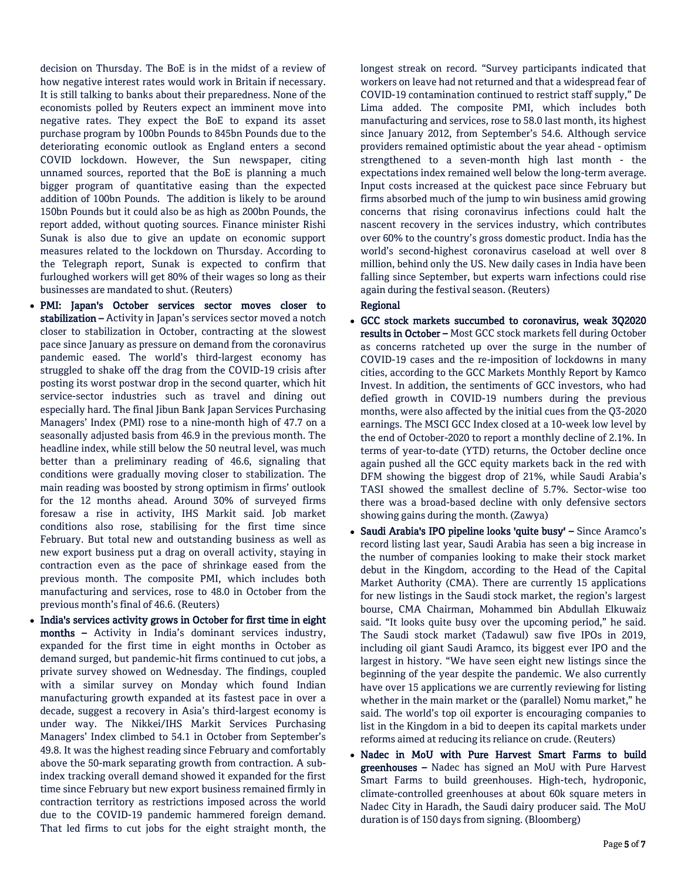decision on Thursday. The BoE is in the midst of a review of how negative interest rates would work in Britain if necessary. It is still talking to banks about their preparedness. None of the economists polled by Reuters expect an imminent move into negative rates. They expect the BoE to expand its asset purchase program by 100bn Pounds to 845bn Pounds due to the deteriorating economic outlook as England enters a second COVID lockdown. However, the Sun newspaper, citing unnamed sources, reported that the BoE is planning a much bigger program of quantitative easing than the expected addition of 100bn Pounds. The addition is likely to be around 150bn Pounds but it could also be as high as 200bn Pounds, the report added, without quoting sources. Finance minister Rishi Sunak is also due to give an update on economic support measures related to the lockdown on Thursday. According to the Telegraph report, Sunak is expected to confirm that furloughed workers will get 80% of their wages so long as their businesses are mandated to shut. (Reuters)

- PMI: Japan's October services sector moves closer to stabilization - Activity in Japan's services sector moved a notch closer to stabilization in October, contracting at the slowest pace since January as pressure on demand from the coronavirus pandemic eased. The world's third-largest economy has struggled to shake off the drag from the COVID-19 crisis after posting its worst postwar drop in the second quarter, which hit service-sector industries such as travel and dining out especially hard. The final Jibun Bank Japan Services Purchasing Managers' Index (PMI) rose to a nine-month high of 47.7 on a seasonally adjusted basis from 46.9 in the previous month. The headline index, while still below the 50 neutral level, was much better than a preliminary reading of 46.6, signaling that conditions were gradually moving closer to stabilization. The main reading was boosted by strong optimism in firms' outlook for the 12 months ahead. Around 30% of surveyed firms foresaw a rise in activity, IHS Markit said. Job market conditions also rose, stabilising for the first time since February. But total new and outstanding business as well as new export business put a drag on overall activity, staying in contraction even as the pace of shrinkage eased from the previous month. The composite PMI, which includes both manufacturing and services, rose to 48.0 in October from the previous month's final of 46.6. (Reuters)
- India's services activity grows in October for first time in eight months – Activity in India's dominant services industry, expanded for the first time in eight months in October as demand surged, but pandemic-hit firms continued to cut jobs, a private survey showed on Wednesday. The findings, coupled with a similar survey on Monday which found Indian manufacturing growth expanded at its fastest pace in over a decade, suggest a recovery in Asia's third-largest economy is under way. The Nikkei/IHS Markit Services Purchasing Managers' Index climbed to 54.1 in October from September's 49.8. It was the highest reading since February and comfortably above the 50-mark separating growth from contraction. A subindex tracking overall demand showed it expanded for the first time since February but new export business remained firmly in contraction territory as restrictions imposed across the world due to the COVID-19 pandemic hammered foreign demand. That led firms to cut jobs for the eight straight month, the

longest streak on record. "Survey participants indicated that workers on leave had not returned and that a widespread fear of COVID-19 contamination continued to restrict staff supply," De Lima added. The composite PMI, which includes both manufacturing and services, rose to 58.0 last month, its highest since January 2012, from September's 54.6. Although service providers remained optimistic about the year ahead - optimism strengthened to a seven-month high last month - the expectations index remained well below the long-term average. Input costs increased at the quickest pace since February but firms absorbed much of the jump to win business amid growing concerns that rising coronavirus infections could halt the nascent recovery in the services industry, which contributes over 60% to the country's gross domestic product. India has the world's second-highest coronavirus caseload at well over 8 million, behind only the US. New daily cases in India have been falling since September, but experts warn infections could rise again during the festival season. (Reuters)

## Regional

- GCC stock markets succumbed to coronavirus, weak 3Q2020 results in October – Most GCC stock markets fell during October as concerns ratcheted up over the surge in the number of COVID-19 cases and the re-imposition of lockdowns in many cities, according to the GCC Markets Monthly Report by Kamco Invest. In addition, the sentiments of GCC investors, who had defied growth in COVID-19 numbers during the previous months, were also affected by the initial cues from the Q3-2020 earnings. The MSCI GCC Index closed at a 10-week low level by the end of October-2020 to report a monthly decline of 2.1%. In terms of year-to-date (YTD) returns, the October decline once again pushed all the GCC equity markets back in the red with DFM showing the biggest drop of 21%, while Saudi Arabia's TASI showed the smallest decline of 5.7%. Sector-wise too there was a broad-based decline with only defensive sectors showing gains during the month. (Zawya)
- Saudi Arabia's IPO pipeline looks 'quite busy' Since Aramco's record listing last year, Saudi Arabia has seen a big increase in the number of companies looking to make their stock market debut in the Kingdom, according to the Head of the Capital Market Authority (CMA). There are currently 15 applications for new listings in the Saudi stock market, the region's largest bourse, CMA Chairman, Mohammed bin Abdullah Elkuwaiz said. "It looks quite busy over the upcoming period," he said. The Saudi stock market (Tadawul) saw five IPOs in 2019, including oil giant Saudi Aramco, its biggest ever IPO and the largest in history. "We have seen eight new listings since the beginning of the year despite the pandemic. We also currently have over 15 applications we are currently reviewing for listing whether in the main market or the (parallel) Nomu market," he said. The world's top oil exporter is encouraging companies to list in the Kingdom in a bid to deepen its capital markets under reforms aimed at reducing its reliance on crude. (Reuters)
- Nadec in MoU with Pure Harvest Smart Farms to build greenhouses – Nadec has signed an MoU with Pure Harvest Smart Farms to build greenhouses. High-tech, hydroponic, climate-controlled greenhouses at about 60k square meters in Nadec City in Haradh, the Saudi dairy producer said. The MoU duration is of 150 days from signing. (Bloomberg)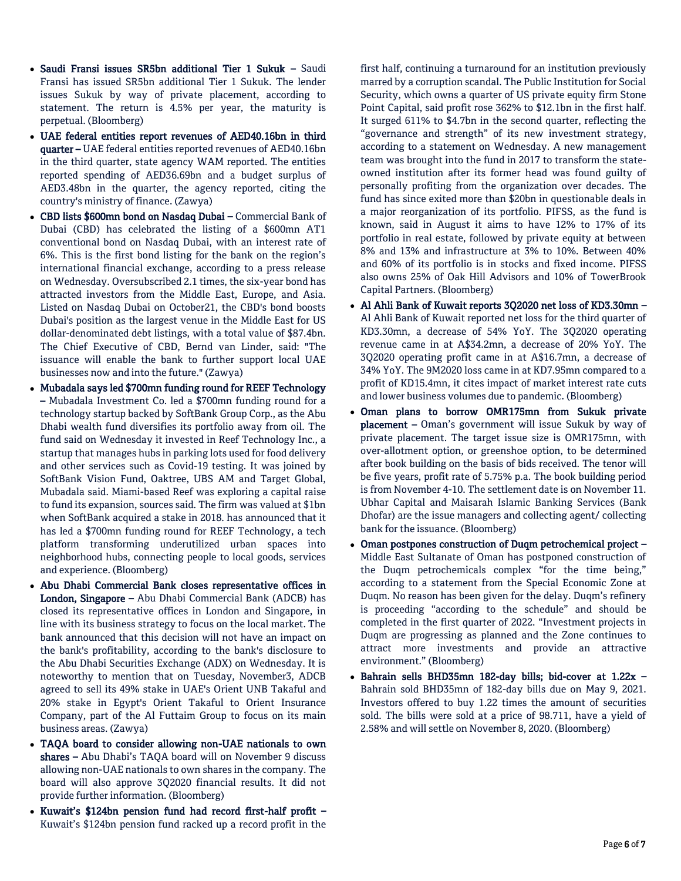- Saudi Fransi issues SR5bn additional Tier 1 Sukuk Saudi Fransi has issued SR5bn additional Tier 1 Sukuk. The lender issues Sukuk by way of private placement, according to statement. The return is 4.5% per year, the maturity is perpetual. (Bloomberg)
- UAE federal entities report revenues of AED40.16bn in third quarter – UAE federal entities reported revenues of AED40.16bn in the third quarter, state agency WAM reported. The entities reported spending of AED36.69bn and a budget surplus of AED3.48bn in the quarter, the agency reported, citing the country's ministry of finance. (Zawya)
- CBD lists \$600mn bond on Nasdaq Dubai Commercial Bank of Dubai (CBD) has celebrated the listing of a \$600mn AT1 conventional bond on Nasdaq Dubai, with an interest rate of 6%. This is the first bond listing for the bank on the region's international financial exchange, according to a press release on Wednesday. Oversubscribed 2.1 times, the six-year bond has attracted investors from the Middle East, Europe, and Asia. Listed on Nasdaq Dubai on October21, the CBD's bond boosts Dubai's position as the largest venue in the Middle East for US dollar-denominated debt listings, with a total value of \$87.4bn. The Chief Executive of CBD, Bernd van Linder, said: "The issuance will enable the bank to further support local UAE businesses now and into the future." (Zawya)
- Mubadala says led \$700mn funding round for REEF Technology – Mubadala Investment Co. led a \$700mn funding round for a technology startup backed by SoftBank Group Corp., as the Abu Dhabi wealth fund diversifies its portfolio away from oil. The fund said on Wednesday it invested in Reef Technology Inc., a startup that manages hubs in parking lots used for food delivery and other services such as Covid-19 testing. It was joined by SoftBank Vision Fund, Oaktree, UBS AM and Target Global, Mubadala said. Miami-based Reef was exploring a capital raise to fund its expansion, sources said. The firm was valued at \$1bn when SoftBank acquired a stake in 2018. has announced that it has led a \$700mn funding round for REEF Technology, a tech platform transforming underutilized urban spaces into neighborhood hubs, connecting people to local goods, services and experience. (Bloomberg)
- Abu Dhabi Commercial Bank closes representative offices in London, Singapore – Abu Dhabi Commercial Bank (ADCB) has closed its representative offices in London and Singapore, in line with its business strategy to focus on the local market. The bank announced that this decision will not have an impact on the bank's profitability, according to the bank's disclosure to the Abu Dhabi Securities Exchange (ADX) on Wednesday. It is noteworthy to mention that on Tuesday, November3, ADCB agreed to sell its 49% stake in UAE's Orient UNB Takaful and 20% stake in Egypt's Orient Takaful to Orient Insurance Company, part of the Al Futtaim Group to focus on its main business areas. (Zawya)
- TAQA board to consider allowing non-UAE nationals to own shares – Abu Dhabi's TAQA board will on November 9 discuss allowing non-UAE nationals to own shares in the company. The board will also approve 3Q2020 financial results. It did not provide further information. (Bloomberg)
- Kuwait's \$124bn pension fund had record first-half profit Kuwait's \$124bn pension fund racked up a record profit in the

first half, continuing a turnaround for an institution previously marred by a corruption scandal. The Public Institution for Social Security, which owns a quarter of US private equity firm Stone Point Capital, said profit rose 362% to \$12.1bn in the first half. It surged 611% to \$4.7bn in the second quarter, reflecting the "governance and strength" of its new investment strategy, according to a statement on Wednesday. A new management team was brought into the fund in 2017 to transform the stateowned institution after its former head was found guilty of personally profiting from the organization over decades. The fund has since exited more than \$20bn in questionable deals in a major reorganization of its portfolio. PIFSS, as the fund is known, said in August it aims to have 12% to 17% of its portfolio in real estate, followed by private equity at between 8% and 13% and infrastructure at 3% to 10%. Between 40% and 60% of its portfolio is in stocks and fixed income. PIFSS also owns 25% of Oak Hill Advisors and 10% of TowerBrook Capital Partners. (Bloomberg)

- Al Ahli Bank of Kuwait reports 3Q2020 net loss of KD3.30mn Al Ahli Bank of Kuwait reported net loss for the third quarter of KD3.30mn, a decrease of 54% YoY. The 3Q2020 operating revenue came in at A\$34.2mn, a decrease of 20% YoY. The 3Q2020 operating profit came in at A\$16.7mn, a decrease of 34% YoY. The 9M2020 loss came in at KD7.95mn compared to a profit of KD15.4mn, it cites impact of market interest rate cuts and lower business volumes due to pandemic. (Bloomberg)
- Oman plans to borrow OMR175mn from Sukuk private placement – Oman's government will issue Sukuk by way of private placement. The target issue size is OMR175mn, with over-allotment option, or greenshoe option, to be determined after book building on the basis of bids received. The tenor will be five years, profit rate of 5.75% p.a. The book building period is from November 4-10. The settlement date is on November 11. Ubhar Capital and Maisarah Islamic Banking Services (Bank Dhofar) are the issue managers and collecting agent/ collecting bank for the issuance. (Bloomberg)
- Oman postpones construction of Duqm petrochemical project Middle East Sultanate of Oman has postponed construction of the Duqm petrochemicals complex "for the time being," according to a statement from the Special Economic Zone at Duqm. No reason has been given for the delay. Duqm's refinery is proceeding "according to the schedule" and should be completed in the first quarter of 2022. "Investment projects in Duqm are progressing as planned and the Zone continues to attract more investments and provide an attractive environment." (Bloomberg)
- Bahrain sells BHD35mn 182-day bills; bid-cover at 1.22x Bahrain sold BHD35mn of 182-day bills due on May 9, 2021. Investors offered to buy 1.22 times the amount of securities sold. The bills were sold at a price of 98.711, have a yield of 2.58% and will settle on November 8, 2020. (Bloomberg)